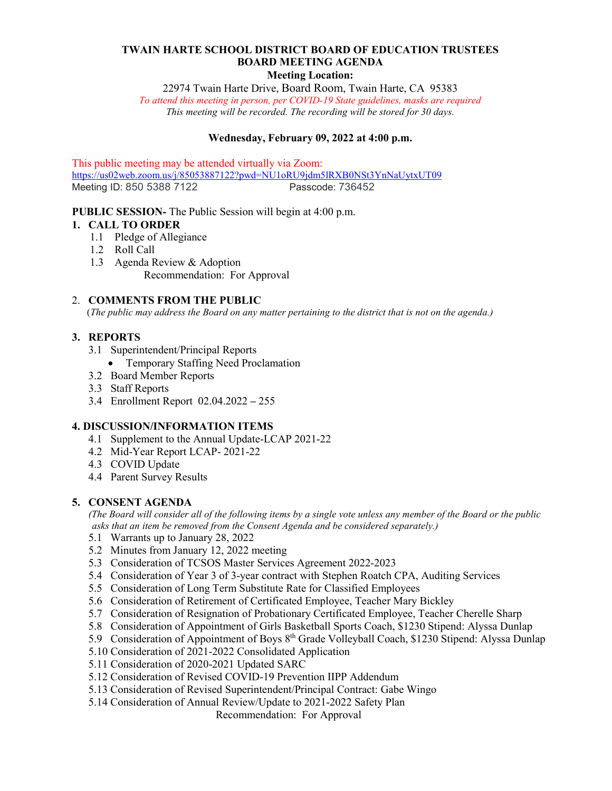# **TWAIN HARTE SCHOOL DISTRICT BOARD OF EDUCATION TRUSTEES BOARD MEETING AGENDA**

#### **Meeting Location:**

22974 Twain Harte Drive, Board Room, Twain Harte, CA 95383

*To attend this meeting in person, per COVID-19 State guidelines, masks are required This meeting will be recorded. The recording will be stored for 30 days.*

# **Wednesday, February 09, 2022 at 4:00 p.m.**

This public meeting may be attended virtually via Zoom: <https://us02web.zoom.us/j/85053887122?pwd=NU1oRU9jdm5lRXB0NSt3YnNaUytxUT09><br>Meeting ID: 850 5388 7122 Passcode: 736452 Meeting ID: 850 5388 7122

## **PUBLIC SESSION-** The Public Session will begin at 4:00 p.m.

# **1. CALL TO ORDER**

- 1.1 Pledge of Allegiance
- 1.2 Roll Call
- 1.3 Agenda Review & Adoption

Recommendation: For Approval

#### 2. **COMMENTS FROM THE PUBLIC**

(*The public may address the Board on any matter pertaining to the district that is not on the agenda.)*

## **3. REPORTS**

- 3.1 Superintendent/Principal Reports
	- Temporary Staffing Need Proclamation
- 3.2 Board Member Reports
- 3.3 Staff Reports
- 3.4 Enrollment Report 02.04.2022 **–** 255

## **4. DISCUSSION/INFORMATION ITEMS**

- 4.1 Supplement to the Annual Update-LCAP 2021-22
- 4.2 Mid-Year Report LCAP- 2021-22
- 4.3 COVID Update
- 4.4 Parent Survey Results

## **5. CONSENT AGENDA**

 *(The Board will consider all of the following items by a single vote unless any member of the Board or the public asks that an item be removed from the Consent Agenda and be considered separately.)* 

- 5.1 Warrants up to January 28, 2022
- 5.2 Minutes from January 12, 2022 meeting
- 5.3 Consideration of TCSOS Master Services Agreement 2022-2023
- 5.4 Consideration of Year 3 of 3-year contract with Stephen Roatch CPA, Auditing Services
- 5.5 Consideration of Long Term Substitute Rate for Classified Employees
- 5.6 Consideration of Retirement of Certificated Employee, Teacher Mary Bickley
- 5.7 Consideration of Resignation of Probationary Certificated Employee, Teacher Cherelle Sharp
- 5.8 Consideration of Appointment of Girls Basketball Sports Coach, \$1230 Stipend: Alyssa Dunlap
- 5.9 Consideration of Appointment of Boys 8<sup>th</sup> Grade Volleyball Coach, \$1230 Stipend: Alyssa Dunlap
- 5.10 Consideration of 2021-2022 Consolidated Application
- 5.11 Consideration of 2020-2021 Updated SARC
- 5.12 Consideration of Revised COVID-19 Prevention IIPP Addendum
- 5.13 Consideration of Revised Superintendent/Principal Contract: Gabe Wingo
- 5.14 Consideration of Annual Review/Update to 2021-2022 Safety Plan

Recommendation: For Approval